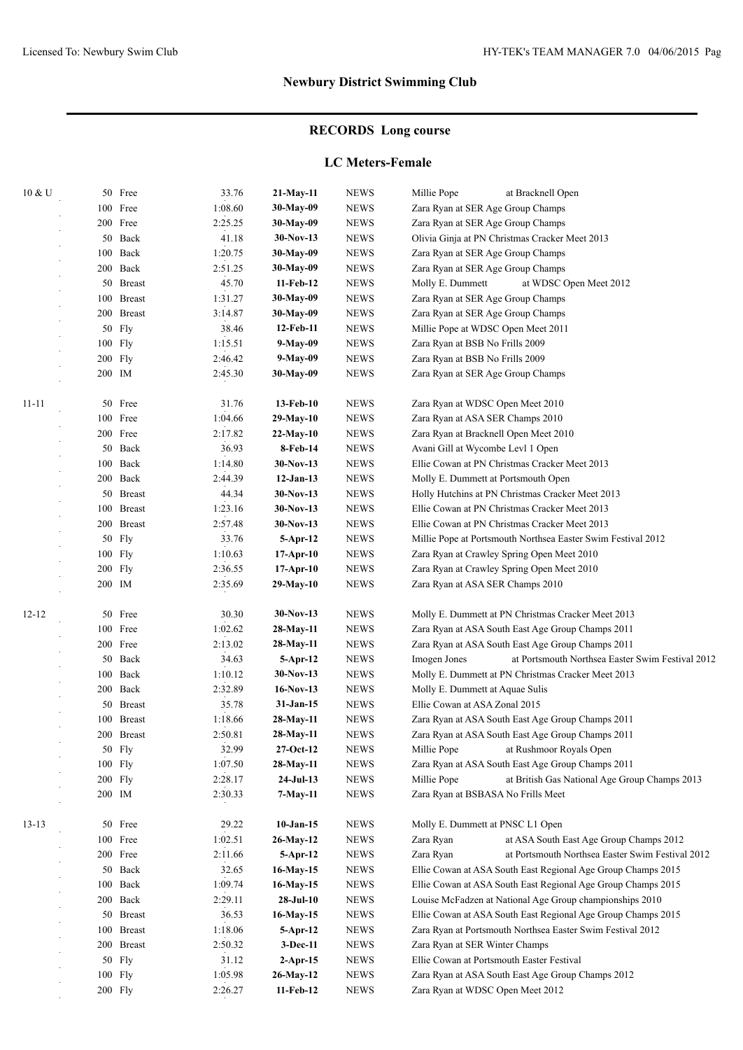# **RECORDS Long course**

### **LC Meters-Female**

| 10 & U    |     | 50 Free               | 33.76   | $21-May-11$ | <b>NEWS</b> | Millie Pope<br>at Bracknell Open                                 |  |
|-----------|-----|-----------------------|---------|-------------|-------------|------------------------------------------------------------------|--|
|           |     | 100 Free              | 1:08.60 | 30-May-09   | <b>NEWS</b> | Zara Ryan at SER Age Group Champs                                |  |
|           |     | 200 Free              | 2:25.25 | 30-May-09   | <b>NEWS</b> | Zara Ryan at SER Age Group Champs                                |  |
|           |     | 50 Back               | 41.18   | $30-Nov-13$ | <b>NEWS</b> | Olivia Ginja at PN Christmas Cracker Meet 2013                   |  |
|           | 100 | Back                  | 1:20.75 | 30-May-09   | <b>NEWS</b> | Zara Ryan at SER Age Group Champs                                |  |
|           |     | 200 Back              | 2:51.25 | 30-May-09   | <b>NEWS</b> | Zara Ryan at SER Age Group Champs                                |  |
|           |     | 50 Breast             | 45.70   | 11-Feb-12   | <b>NEWS</b> | Molly E. Dummett<br>at WDSC Open Meet 2012                       |  |
|           | 100 | <b>Breast</b>         | 1:31.27 | 30-May-09   | <b>NEWS</b> | Zara Ryan at SER Age Group Champs                                |  |
|           | 200 | <b>Breast</b>         | 3:14.87 | 30-May-09   | <b>NEWS</b> | Zara Ryan at SER Age Group Champs                                |  |
|           |     | 50 Fly                | 38.46   | 12-Feb-11   | <b>NEWS</b> | Millie Pope at WDSC Open Meet 2011                               |  |
|           |     | 100 Fly               | 1:15.51 | 9-May-09    | <b>NEWS</b> | Zara Ryan at BSB No Frills 2009                                  |  |
|           |     | 200 Fly               | 2:46.42 | 9-May-09    | <b>NEWS</b> | Zara Ryan at BSB No Frills 2009                                  |  |
|           |     | 200 IM                | 2:45.30 | 30-May-09   | <b>NEWS</b> | Zara Ryan at SER Age Group Champs                                |  |
| $11 - 11$ |     | 50 Free               | 31.76   | 13-Feb-10   | <b>NEWS</b> | Zara Ryan at WDSC Open Meet 2010                                 |  |
|           |     | 100 Free              | 1:04.66 | $29-May-10$ | <b>NEWS</b> | Zara Ryan at ASA SER Champs 2010                                 |  |
|           |     | 200 Free              | 2:17.82 | $22-May-10$ | <b>NEWS</b> | Zara Ryan at Bracknell Open Meet 2010                            |  |
|           |     | 50 Back               | 36.93   | 8-Feb-14    | <b>NEWS</b> | Avani Gill at Wycombe Levl 1 Open                                |  |
|           |     | 100 Back              | 1:14.80 | 30-Nov-13   | <b>NEWS</b> | Ellie Cowan at PN Christmas Cracker Meet 2013                    |  |
|           |     | 200 Back              | 2:44.39 | $12-Jan-13$ | <b>NEWS</b> | Molly E. Dummett at Portsmouth Open                              |  |
|           | 50  | <b>Breast</b>         | 44.34   | 30-Nov-13   | <b>NEWS</b> | Holly Hutchins at PN Christmas Cracker Meet 2013                 |  |
|           |     | 100 Breast            | 1:23.16 | 30-Nov-13   | <b>NEWS</b> | Ellie Cowan at PN Christmas Cracker Meet 2013                    |  |
|           |     | 200 Breast            | 2:57.48 | $30-Nov-13$ | <b>NEWS</b> | Ellie Cowan at PN Christmas Cracker Meet 2013                    |  |
|           |     | 50 Fly                | 33.76   | 5-Apr-12    | <b>NEWS</b> | Millie Pope at Portsmouth Northsea Easter Swim Festival 2012     |  |
|           |     | 100 Fly               | 1:10.63 | $17-Apr-10$ | <b>NEWS</b> | Zara Ryan at Crawley Spring Open Meet 2010                       |  |
|           |     | 200 Fly               | 2:36.55 | 17-Apr-10   | <b>NEWS</b> | Zara Ryan at Crawley Spring Open Meet 2010                       |  |
|           |     | 200 IM                | 2:35.69 | $29-May-10$ | <b>NEWS</b> | Zara Ryan at ASA SER Champs 2010                                 |  |
| $12 - 12$ |     | 50 Free               | 30.30   | 30-Nov-13   | <b>NEWS</b> | Molly E. Dummett at PN Christmas Cracker Meet 2013               |  |
|           |     | 100 Free              | 1:02.62 | 28-May-11   | <b>NEWS</b> | Zara Ryan at ASA South East Age Group Champs 2011                |  |
|           |     | 200 Free              | 2:13.02 | 28-May-11   | <b>NEWS</b> | Zara Ryan at ASA South East Age Group Champs 2011                |  |
|           |     | 50 Back               | 34.63   | 5-Apr-12    | <b>NEWS</b> | at Portsmouth Northsea Easter Swim Festival 2012<br>Imogen Jones |  |
|           |     | 100 Back              | 1:10.12 | $30-Nov-13$ | <b>NEWS</b> | Molly E. Dummett at PN Christmas Cracker Meet 2013               |  |
|           |     | 200 Back              | 2:32.89 | $16-Nov-13$ | <b>NEWS</b> | Molly E. Dummett at Aquae Sulis                                  |  |
|           |     | 50 Breast             | 35.78   | $31-Jan-15$ | <b>NEWS</b> | Ellie Cowan at ASA Zonal 2015                                    |  |
|           |     | 100 Breast            | 1:18.66 | 28-May-11   | <b>NEWS</b> | Zara Ryan at ASA South East Age Group Champs 2011                |  |
|           |     | 2:50.81<br>200 Breast |         | 28-May-11   | <b>NEWS</b> | Zara Ryan at ASA South East Age Group Champs 2011                |  |
|           |     | 50 Fly                | 32.99   | $27-Oct-12$ | <b>NEWS</b> | Millie Pope<br>at Rushmoor Royals Open                           |  |
|           |     | 100 Fly               | 1:07.50 | 28-May-11   | <b>NEWS</b> | Zara Ryan at ASA South East Age Group Champs 2011                |  |
|           |     | 200 Fly               | 2:28.17 | $24-Jul-13$ | <b>NEWS</b> | Millie Pope<br>at British Gas National Age Group Champs 2013     |  |
|           |     | 200 IM                | 2:30.33 | 7-May-11    | <b>NEWS</b> | Zara Ryan at BSBASA No Frills Meet                               |  |
| $13 - 13$ |     | 50 Free               | 29.22   | $10-Jan-15$ | <b>NEWS</b> | Molly E. Dummett at PNSC L1 Open                                 |  |
|           |     | 100 Free              | 1:02.51 | 26-May-12   | <b>NEWS</b> | Zara Ryan<br>at ASA South East Age Group Champs 2012             |  |
|           |     | 200 Free              | 2:11.66 | 5-Apr-12    | <b>NEWS</b> | at Portsmouth Northsea Easter Swim Festival 2012<br>Zara Ryan    |  |
|           |     | 50 Back               | 32.65   | $16-May-15$ | <b>NEWS</b> | Ellie Cowan at ASA South East Regional Age Group Champs 2015     |  |
|           |     | 100 Back              | 1:09.74 | 16-May-15   | <b>NEWS</b> | Ellie Cowan at ASA South East Regional Age Group Champs 2015     |  |
|           |     | 200 Back              | 2:29.11 | $28-Jul-10$ | <b>NEWS</b> | Louise McFadzen at National Age Group championships 2010         |  |
|           |     | 50 Breast             | 36.53   | 16-May-15   | <b>NEWS</b> | Ellie Cowan at ASA South East Regional Age Group Champs 2015     |  |
|           |     | 100 Breast            | 1:18.06 | 5-Apr-12    | <b>NEWS</b> | Zara Ryan at Portsmouth Northsea Easter Swim Festival 2012       |  |
|           |     | 200 Breast            | 2:50.32 | $3-Dec-11$  | <b>NEWS</b> | Zara Ryan at SER Winter Champs                                   |  |
|           |     | 50 Fly                | 31.12   | 2-Apr-15    | <b>NEWS</b> | Ellie Cowan at Portsmouth Easter Festival                        |  |
|           |     | 100 Fly               | 1:05.98 | 26-May-12   | <b>NEWS</b> | Zara Ryan at ASA South East Age Group Champs 2012                |  |
|           |     | $200$ Fly             | 2:26.27 | 11-Feb-12   | <b>NEWS</b> | Zara Ryan at WDSC Open Meet 2012                                 |  |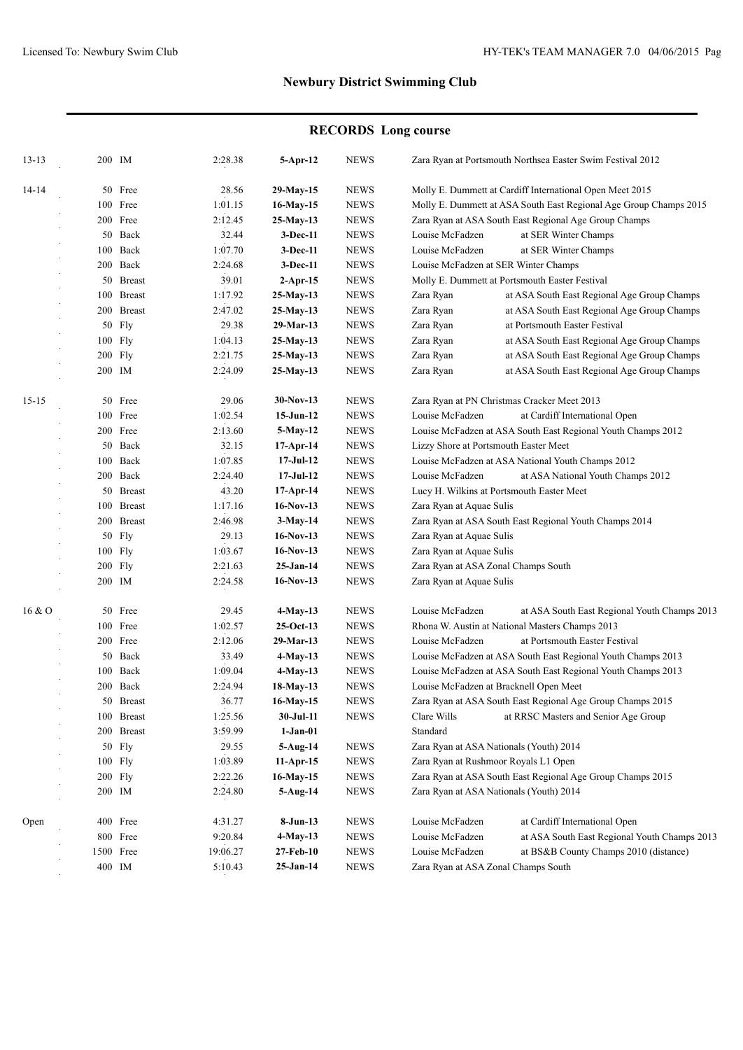# **RECORDS Long course**

| $13 - 13$ | 200 IM  |            | 2:28.38  | 5-Apr-12    | <b>NEWS</b>                    | Zara Ryan at Portsmouth Northsea Easter Swim Festival 2012        |                                                              |  |
|-----------|---------|------------|----------|-------------|--------------------------------|-------------------------------------------------------------------|--------------------------------------------------------------|--|
| 14-14     |         | 50 Free    | 28.56    | 29-May-15   | <b>NEWS</b>                    |                                                                   | Molly E. Dummett at Cardiff International Open Meet 2015     |  |
|           |         | 100 Free   | 1:01.15  | 16-May-15   | <b>NEWS</b>                    | Molly E. Dummett at ASA South East Regional Age Group Champs 2015 |                                                              |  |
|           |         | 200 Free   | 2:12.45  | 25-May-13   | <b>NEWS</b>                    | Zara Ryan at ASA South East Regional Age Group Champs             |                                                              |  |
|           |         | 50 Back    | 32.44    | $3-Dec-11$  | <b>NEWS</b>                    | Louise McFadzen                                                   | at SER Winter Champs                                         |  |
|           |         | 100 Back   | 1:07.70  | $3-Dec-11$  | <b>NEWS</b>                    | Louise McFadzen                                                   | at SER Winter Champs                                         |  |
|           |         | 200 Back   | 2:24.68  | 3-Dec-11    | <b>NEWS</b>                    | Louise McFadzen at SER Winter Champs                              |                                                              |  |
|           |         | 50 Breast  | 39.01    | $2-Apr-15$  | <b>NEWS</b>                    | Molly E. Dummett at Portsmouth Easter Festival                    |                                                              |  |
|           |         | 100 Breast | 1:17.92  | $25-May-13$ | <b>NEWS</b>                    | Zara Ryan                                                         | at ASA South East Regional Age Group Champs                  |  |
|           |         | 200 Breast | 2:47.02  | 25-May-13   | <b>NEWS</b>                    | Zara Ryan                                                         | at ASA South East Regional Age Group Champs                  |  |
|           |         | 50 Fly     | 29.38    | 29-Mar-13   | <b>NEWS</b>                    | Zara Ryan                                                         | at Portsmouth Easter Festival                                |  |
|           |         | 100 Fly    | 1:04.13  | $25-May-13$ | <b>NEWS</b>                    | Zara Ryan                                                         | at ASA South East Regional Age Group Champs                  |  |
|           | 200 Fly |            | 2:21.75  | 25-May-13   | <b>NEWS</b>                    | Zara Ryan                                                         | at ASA South East Regional Age Group Champs                  |  |
|           |         | 200 IM     | 2:24.09  | 25-May-13   | <b>NEWS</b>                    | Zara Ryan                                                         | at ASA South East Regional Age Group Champs                  |  |
|           |         |            |          |             |                                |                                                                   |                                                              |  |
| $15 - 15$ |         | 50 Free    | 29.06    | $30-Nov-13$ | <b>NEWS</b>                    |                                                                   | Zara Ryan at PN Christmas Cracker Meet 2013                  |  |
|           |         | 100 Free   | 1:02.54  | $15-Jun-12$ | <b>NEWS</b>                    | Louise McFadzen<br>at Cardiff International Open                  |                                                              |  |
|           |         | 200 Free   | 2:13.60  | $5-May-12$  | <b>NEWS</b>                    | Louise McFadzen at ASA South East Regional Youth Champs 2012      |                                                              |  |
|           |         | 50 Back    | 32.15    | 17-Apr-14   | <b>NEWS</b>                    | Lizzy Shore at Portsmouth Easter Meet                             |                                                              |  |
|           |         | 100 Back   | 1:07.85  | $17-JuI-12$ | <b>NEWS</b>                    |                                                                   | Louise McFadzen at ASA National Youth Champs 2012            |  |
|           |         | 200 Back   | 2:24.40  | $17-JuI-12$ | <b>NEWS</b>                    | Louise McFadzen                                                   | at ASA National Youth Champs 2012                            |  |
|           |         | 50 Breast  | 43.20    | 17-Apr-14   | <b>NEWS</b>                    | Lucy H. Wilkins at Portsmouth Easter Meet                         |                                                              |  |
|           |         | 100 Breast | 1:17.16  | $16-Nov-13$ | <b>NEWS</b>                    | Zara Ryan at Aquae Sulis                                          |                                                              |  |
|           |         | 200 Breast | 2:46.98  | 3-May-14    | <b>NEWS</b>                    |                                                                   | Zara Ryan at ASA South East Regional Youth Champs 2014       |  |
|           |         | 50 Fly     | 29.13    | $16-Nov-13$ | <b>NEWS</b>                    | Zara Ryan at Aquae Sulis                                          |                                                              |  |
|           |         | 100 Fly    | 1:03.67  | $16-Nov-13$ | <b>NEWS</b>                    | Zara Ryan at Aquae Sulis                                          |                                                              |  |
|           | 200 Fly |            | 2:21.63  | 25-Jan-14   | <b>NEWS</b>                    | Zara Ryan at ASA Zonal Champs South                               |                                                              |  |
|           |         | 200 IM     | 2:24.58  | $16-Nov-13$ | <b>NEWS</b>                    | Zara Ryan at Aquae Sulis                                          |                                                              |  |
| 16 & 0    |         | 50 Free    | 29.45    | $4-May-13$  | <b>NEWS</b>                    | Louise McFadzen                                                   | at ASA South East Regional Youth Champs 2013                 |  |
|           |         | 100 Free   | 1:02.57  | $25-Oct-13$ | <b>NEWS</b>                    |                                                                   | Rhona W. Austin at National Masters Champs 2013              |  |
|           |         | 200 Free   | 2:12.06  | 29-Mar-13   | <b>NEWS</b>                    | Louise McFadzen                                                   | at Portsmouth Easter Festival                                |  |
|           |         | 50 Back    | 33.49    | 4-May-13    | <b>NEWS</b>                    |                                                                   | Louise McFadzen at ASA South East Regional Youth Champs 2013 |  |
|           |         | 100 Back   | 1:09.04  | $4-May-13$  | <b>NEWS</b>                    |                                                                   | Louise McFadzen at ASA South East Regional Youth Champs 2013 |  |
|           |         | 200 Back   | 2:24.94  | 18-May-13   | <b>NEWS</b>                    | Louise McFadzen at Bracknell Open Meet                            |                                                              |  |
|           |         | 50 Breast  | 36.77    | 16-May-15   | <b>NEWS</b>                    |                                                                   | Zara Ryan at ASA South East Regional Age Group Champs 2015   |  |
|           |         | 100 Breast | 1:25.56  | 30-Jul-11   | <b>NEWS</b>                    | Clare Wills                                                       | at RRSC Masters and Senior Age Group                         |  |
|           |         | 200 Breast | 3:59.99  | $1-Jan-01$  |                                | Standard                                                          |                                                              |  |
|           |         |            | 29.55    |             |                                |                                                                   |                                                              |  |
|           |         | 50 Fly     |          | $5-Aug-14$  | <b>NEWS</b>                    | Zara Ryan at ASA Nationals (Youth) 2014                           |                                                              |  |
|           |         | 100 Fly    | 1:03.89  | $11-Apr-15$ | <b>NEWS</b>                    | Zara Ryan at Rushmoor Royals L1 Open                              |                                                              |  |
|           |         | 200 Fly    | 2:22.26  | 16-May-15   | <b>NEWS</b>                    |                                                                   | Zara Ryan at ASA South East Regional Age Group Champs 2015   |  |
|           |         | 200 IM     | 2:24.80  | $5-Aug-14$  | <b>NEWS</b>                    | Zara Ryan at ASA Nationals (Youth) 2014                           |                                                              |  |
| Open      |         | 400 Free   | 4:31.27  | $8-Jun-13$  | <b>NEWS</b>                    | Louise McFadzen                                                   | at Cardiff International Open                                |  |
|           |         | 800 Free   | 9:20.84  | $4-May-13$  | <b>NEWS</b>                    | Louise McFadzen                                                   | at ASA South East Regional Youth Champs 2013                 |  |
|           |         | 1500 Free  | 19:06.27 | 27-Feb-10   | <b>NEWS</b>                    | Louise McFadzen                                                   | at BS&B County Champs 2010 (distance)                        |  |
|           | 400 IM  |            | 5:10.43  | $25-Jan-14$ | ${\bf N}{\bf E}{\bf W}{\bf S}$ | Zara Ryan at ASA Zonal Champs South                               |                                                              |  |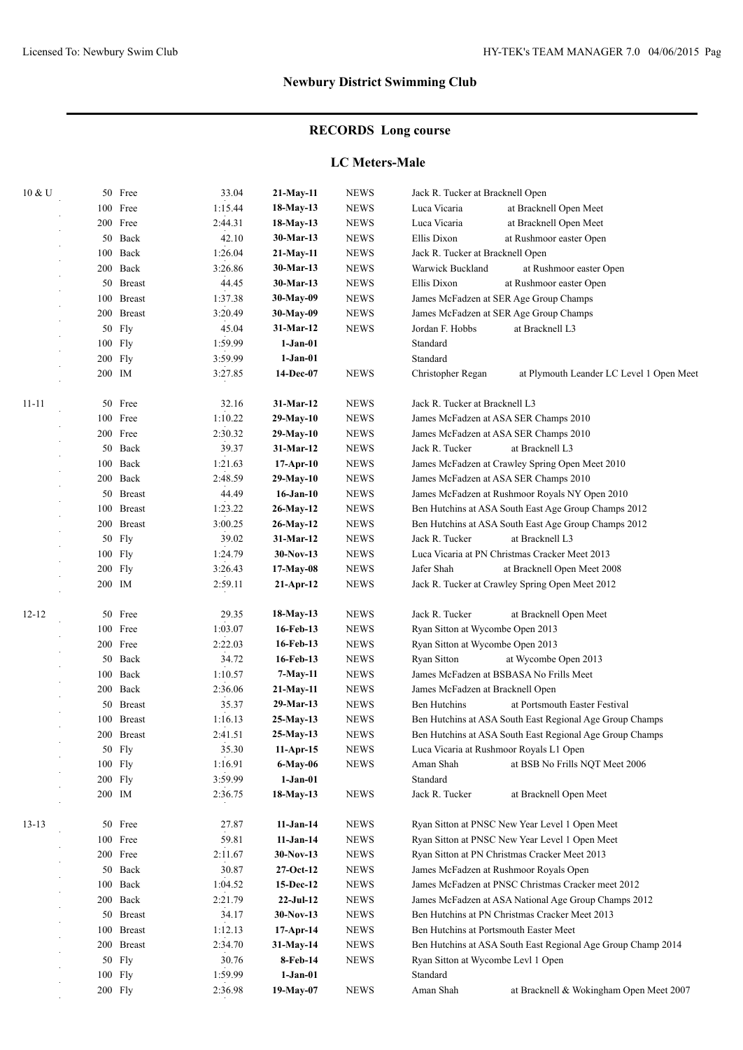# **RECORDS Long course**

### **LC Meters-Male**

| 10 & U    |     | 50 Free             | 33.04       | 21-May-11       | <b>NEWS</b>                           | Jack R. Tucker at Bracknell Open                              |  |
|-----------|-----|---------------------|-------------|-----------------|---------------------------------------|---------------------------------------------------------------|--|
|           | 100 | Free                | 1:15.44     | 18-May-13       | <b>NEWS</b>                           | Luca Vicaria<br>at Bracknell Open Meet                        |  |
|           |     | 200 Free            | 2:44.31     | 18-May-13       | <b>NEWS</b>                           | Luca Vicaria<br>at Bracknell Open Meet                        |  |
|           | 50  | Back                | 42.10       | 30-Mar-13       | <b>NEWS</b>                           | Ellis Dixon<br>at Rushmoor easter Open                        |  |
|           | 100 | Back                | 1:26.04     | 21-May-11       | <b>NEWS</b>                           | Jack R. Tucker at Bracknell Open                              |  |
|           | 200 | Back                | 3:26.86     | 30-Mar-13       | <b>NEWS</b>                           | Warwick Buckland<br>at Rushmoor easter Open                   |  |
|           | 50  | <b>Breast</b>       | 44.45       | 30-Mar-13       | <b>NEWS</b>                           | Ellis Dixon<br>at Rushmoor easter Open                        |  |
|           | 100 | <b>Breast</b>       | 1:37.38     | 30-May-09       | <b>NEWS</b>                           | James McFadzen at SER Age Group Champs                        |  |
|           | 200 | <b>Breast</b>       | 3:20.49     | 30-May-09       | <b>NEWS</b>                           | James McFadzen at SER Age Group Champs                        |  |
|           | 50  | Fly                 | 45.04       | 31-Mar-12       | <b>NEWS</b>                           | Jordan F. Hobbs<br>at Bracknell L3                            |  |
|           | 100 | Fly                 | 1:59.99     | $1-Jan-01$      |                                       | Standard                                                      |  |
|           |     | 200 Fly             | 3:59.99     | $1-Jan-01$      |                                       | Standard                                                      |  |
|           |     | 200 IM              | 3:27.85     | 14-Dec-07       | <b>NEWS</b>                           | Christopher Regan<br>at Plymouth Leander LC Level 1 Open Meet |  |
|           |     |                     |             |                 |                                       |                                                               |  |
| $11 - 11$ | 50  | Free                | 32.16       | 31-Mar-12       | <b>NEWS</b>                           | Jack R. Tucker at Bracknell L3                                |  |
|           |     | 100 Free            | 1:10.22     | $29-May-10$     | <b>NEWS</b>                           | James McFadzen at ASA SER Champs 2010                         |  |
|           |     | 200 Free<br>2:30.32 | $29-May-10$ | <b>NEWS</b>     | James McFadzen at ASA SER Champs 2010 |                                                               |  |
|           | 50  | Back                | 39.37       | 31-Mar-12       | <b>NEWS</b>                           | Jack R. Tucker<br>at Bracknell L3                             |  |
|           | 100 | Back                | 1:21.63     | $17-Apr-10$     | <b>NEWS</b>                           | James McFadzen at Crawley Spring Open Meet 2010               |  |
|           | 200 | Back                | 2:48.59     | $29-May-10$     | <b>NEWS</b>                           | James McFadzen at ASA SER Champs 2010                         |  |
|           | 50  | <b>Breast</b>       | 44.49       | $16$ -Jan- $10$ | <b>NEWS</b>                           | James McFadzen at Rushmoor Royals NY Open 2010                |  |
|           | 100 | <b>Breast</b>       | 1:23.22     | 26-May-12       | <b>NEWS</b>                           | Ben Hutchins at ASA South East Age Group Champs 2012          |  |
|           | 200 | <b>Breast</b>       | 3:00.25     | 26-May-12       | <b>NEWS</b>                           | Ben Hutchins at ASA South East Age Group Champs 2012          |  |
|           | 50  | Fly                 | 39.02       | 31-Mar-12       | <b>NEWS</b>                           | Jack R. Tucker<br>at Bracknell L3                             |  |
|           |     | 100 Fly             | 1:24.79     | $30-Nov-13$     | <b>NEWS</b>                           | Luca Vicaria at PN Christmas Cracker Meet 2013                |  |
|           |     | 200 Fly             | 3:26.43     | $17-May-08$     | <b>NEWS</b>                           | Jafer Shah<br>at Bracknell Open Meet 2008                     |  |
|           |     | 200 IM              | 2:59.11     | $21-Apr-12$     | <b>NEWS</b>                           | Jack R. Tucker at Crawley Spring Open Meet 2012               |  |
|           |     |                     |             |                 |                                       |                                                               |  |
| $12 - 12$ |     | 50 Free             | 29.35       | 18-May-13       | <b>NEWS</b>                           | Jack R. Tucker<br>at Bracknell Open Meet                      |  |
|           |     | 100 Free            | 1:03.07     | 16-Feb-13       | <b>NEWS</b>                           | Ryan Sitton at Wycombe Open 2013                              |  |
|           |     | 200 Free            | 2:22.03     | 16-Feb-13       | <b>NEWS</b>                           | Ryan Sitton at Wycombe Open 2013                              |  |
|           | 50  | Back                | 34.72       | 16-Feb-13       | <b>NEWS</b>                           | <b>Ryan Sitton</b><br>at Wycombe Open 2013                    |  |
|           |     | 100 Back            | 1:10.57     | 7-May-11        | <b>NEWS</b>                           | James McFadzen at BSBASA No Frills Meet                       |  |
|           | 200 | Back                | 2:36.06     | 21-May-11       | <b>NEWS</b>                           | James McFadzen at Bracknell Open                              |  |
|           | 50  | <b>Breast</b>       | 35.37       | 29-Mar-13       | <b>NEWS</b>                           | <b>Ben Hutchins</b><br>at Portsmouth Easter Festival          |  |
|           | 100 | <b>Breast</b>       | 1:16.13     | 25-May-13       | <b>NEWS</b>                           | Ben Hutchins at ASA South East Regional Age Group Champs      |  |
|           |     | 200 Breast          | 2:41.51     | 25-May-13       | <b>NEWS</b>                           | Ben Hutchins at ASA South East Regional Age Group Champs      |  |
|           |     | 50 Fly              | 35.30       | 11-Apr-15       | <b>NEWS</b>                           | Luca Vicaria at Rushmoor Royals L1 Open                       |  |
|           |     | 100 Fly             | 1:16.91     | 6-May-06        | <b>NEWS</b>                           | Aman Shah<br>at BSB No Frills NQT Meet 2006                   |  |
|           |     | 200 Fly             | 3:59.99     | $1-Jan-01$      |                                       | Standard                                                      |  |
|           |     | 200 IM              | 2:36.75     | $18-May-13$     | <b>NEWS</b>                           | Jack R. Tucker<br>at Bracknell Open Meet                      |  |
|           |     |                     |             |                 |                                       |                                                               |  |
| $13 - 13$ |     | 50 Free             | 27.87       | $11-Jan-14$     | <b>NEWS</b>                           | Ryan Sitton at PNSC New Year Level 1 Open Meet                |  |
|           |     | 100 Free            | 59.81       | $11-Jan-14$     | <b>NEWS</b>                           | Ryan Sitton at PNSC New Year Level 1 Open Meet                |  |
|           |     | 200 Free            | 2:11.67     | $30-Nov-13$     | <b>NEWS</b>                           | Ryan Sitton at PN Christmas Cracker Meet 2013                 |  |
|           |     | 50 Back             | 30.87       | $27-Oct-12$     | <b>NEWS</b>                           | James McFadzen at Rushmoor Royals Open                        |  |
|           |     | 100 Back            | 1:04.52     | 15-Dec-12       | <b>NEWS</b>                           | James McFadzen at PNSC Christmas Cracker meet 2012            |  |
|           |     | 200 Back            | 2:21.79     | $22-JuI-12$     | <b>NEWS</b>                           | James McFadzen at ASA National Age Group Champs 2012          |  |
|           |     | 50 Breast           | 34.17       | $30-Nov-13$     | <b>NEWS</b>                           | Ben Hutchins at PN Christmas Cracker Meet 2013                |  |
|           |     | 100 Breast          | 1:12.13     | $17-Apr-14$     | <b>NEWS</b>                           | Ben Hutchins at Portsmouth Easter Meet                        |  |
|           |     | 200 Breast          | 2:34.70     | 31-May-14       | <b>NEWS</b>                           | Ben Hutchins at ASA South East Regional Age Group Champ 2014  |  |
|           |     | 50 Fly              | 30.76       | 8-Feb-14        | <b>NEWS</b>                           | Ryan Sitton at Wycombe Levl 1 Open                            |  |
|           |     | 100 Fly             | 1:59.99     | $1-Jan-01$      |                                       | Standard                                                      |  |
|           |     | $200$ Fly           | 2:36.98     | 19-May-07       | <b>NEWS</b>                           | Aman Shah<br>at Bracknell & Wokingham Open Meet 2007          |  |
|           |     |                     |             |                 |                                       |                                                               |  |